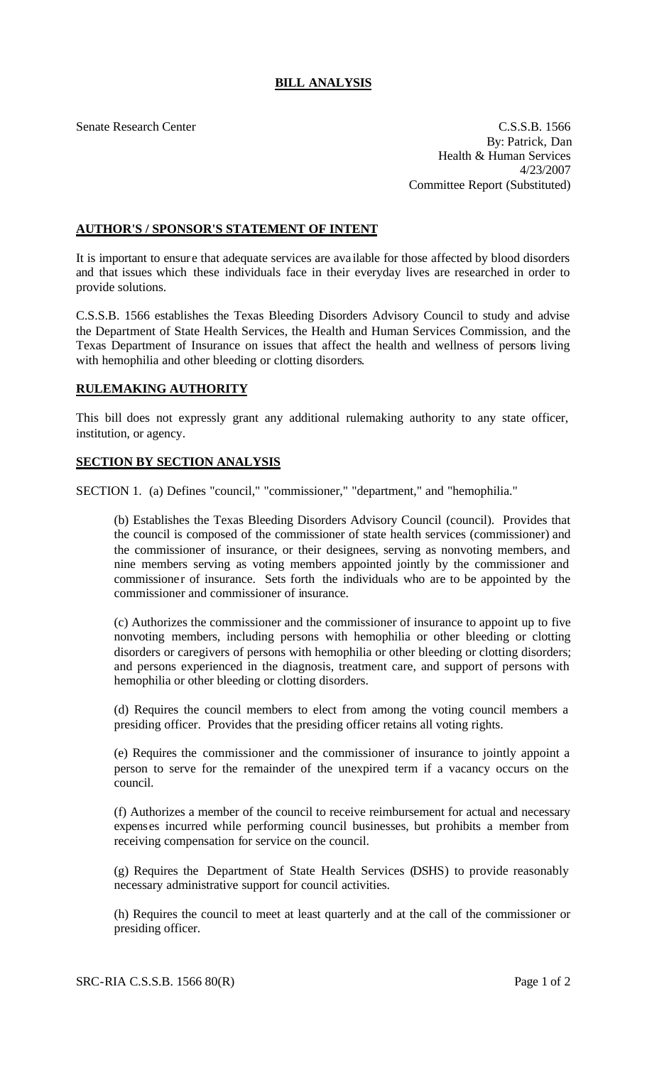## **BILL ANALYSIS**

Senate Research Center C.S.S.B. 1566 By: Patrick, Dan Health & Human Services 4/23/2007 Committee Report (Substituted)

## **AUTHOR'S / SPONSOR'S STATEMENT OF INTENT**

It is important to ensure that adequate services are ava ilable for those affected by blood disorders and that issues which these individuals face in their everyday lives are researched in order to provide solutions.

C.S.S.B. 1566 establishes the Texas Bleeding Disorders Advisory Council to study and advise the Department of State Health Services, the Health and Human Services Commission, and the Texas Department of Insurance on issues that affect the health and wellness of persons living with hemophilia and other bleeding or clotting disorders.

## **RULEMAKING AUTHORITY**

This bill does not expressly grant any additional rulemaking authority to any state officer, institution, or agency.

## **SECTION BY SECTION ANALYSIS**

SECTION 1. (a) Defines "council," "commissioner," "department," and "hemophilia."

(b) Establishes the Texas Bleeding Disorders Advisory Council (council). Provides that the council is composed of the commissioner of state health services (commissioner) and the commissioner of insurance, or their designees, serving as nonvoting members, and nine members serving as voting members appointed jointly by the commissioner and commissioner of insurance. Sets forth the individuals who are to be appointed by the commissioner and commissioner of insurance.

(c) Authorizes the commissioner and the commissioner of insurance to appoint up to five nonvoting members, including persons with hemophilia or other bleeding or clotting disorders or caregivers of persons with hemophilia or other bleeding or clotting disorders; and persons experienced in the diagnosis, treatment care, and support of persons with hemophilia or other bleeding or clotting disorders.

(d) Requires the council members to elect from among the voting council members a presiding officer. Provides that the presiding officer retains all voting rights.

(e) Requires the commissioner and the commissioner of insurance to jointly appoint a person to serve for the remainder of the unexpired term if a vacancy occurs on the council.

(f) Authorizes a member of the council to receive reimbursement for actual and necessary expenses incurred while performing council businesses, but prohibits a member from receiving compensation for service on the council.

(g) Requires the Department of State Health Services (DSHS) to provide reasonably necessary administrative support for council activities.

(h) Requires the council to meet at least quarterly and at the call of the commissioner or presiding officer.